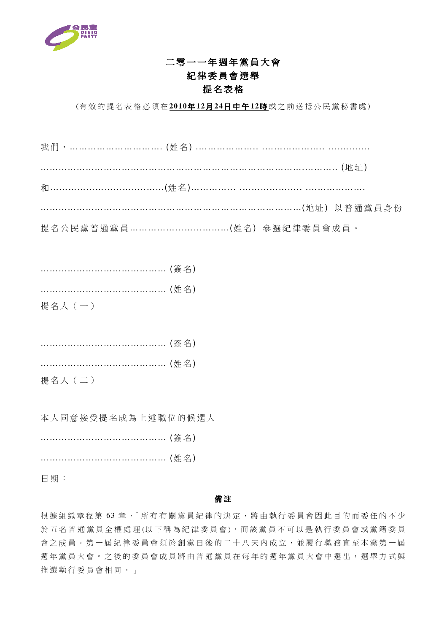

## 二零一一年週年黨員大會 紀律委員會選舉 提名表格

(有 效 的 提 名 表 格 必 須 在 **2010**年 **12**月 **24**日 中 午 **12**時 或 之 前 送 抵 公 民 黨 秘 書 處 )

我 們 , …………………………. (姓 名 ) .……………….. .……………….. .…………. …………………………………………………………………………….……….. (地 址 ) 和 …………………………..……(姓 名 )…………... .……………….. .………………. ……………………………………………………………………………(地 址 ) 以 普 通 黨 員 身 份 提名公民黨普通黨員 ……………………………………………(姓名) 參選紀律委員會成員。

| …………………………………… (姓名) |  |
|---------------------|--|
| 提名人 (一)             |  |

……………………………… (簽名)

……………………………… (姓名)

提名人 (二)

本人同意接受提名成為上述職位的候選人

| …………………………………… (簽名) |  |
|---------------------|--|
|                     |  |

日 期 :

## 備 註

根據組織章程第63章,「所有有關黨員紀律的決定,將由執行委員會因此目的而委任的不少 於 五 名 普 通 黨 員 全 權 處 理(以下 稱 為 紀 律 委 員 會), 而 該 黨 員 不 可 以 是 執 行 委 員 會 或 黨 籍 委 員 會之成員。第一屆紀律委員會須於創黨日後的二十八天內成立,並履行職務直至本黨第一屆 週年黨員大會。之後的委員會成員將由普通黨員在每年的週年黨員大會中選出,選舉方式與 推選執行委員會相同。」